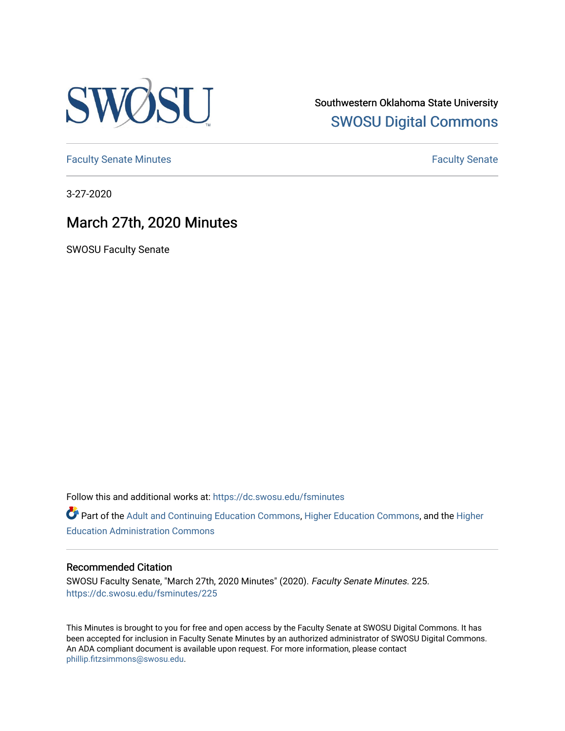

Southwestern Oklahoma State University [SWOSU Digital Commons](https://dc.swosu.edu/) 

[Faculty Senate Minutes](https://dc.swosu.edu/fsminutes) **Faculty** Senate Minutes

3-27-2020

## March 27th, 2020 Minutes

SWOSU Faculty Senate

Follow this and additional works at: [https://dc.swosu.edu/fsminutes](https://dc.swosu.edu/fsminutes?utm_source=dc.swosu.edu%2Ffsminutes%2F225&utm_medium=PDF&utm_campaign=PDFCoverPages) 

Part of the [Adult and Continuing Education Commons,](http://network.bepress.com/hgg/discipline/1375?utm_source=dc.swosu.edu%2Ffsminutes%2F225&utm_medium=PDF&utm_campaign=PDFCoverPages) [Higher Education Commons,](http://network.bepress.com/hgg/discipline/1245?utm_source=dc.swosu.edu%2Ffsminutes%2F225&utm_medium=PDF&utm_campaign=PDFCoverPages) and the [Higher](http://network.bepress.com/hgg/discipline/791?utm_source=dc.swosu.edu%2Ffsminutes%2F225&utm_medium=PDF&utm_campaign=PDFCoverPages) [Education Administration Commons](http://network.bepress.com/hgg/discipline/791?utm_source=dc.swosu.edu%2Ffsminutes%2F225&utm_medium=PDF&utm_campaign=PDFCoverPages) 

#### Recommended Citation

SWOSU Faculty Senate, "March 27th, 2020 Minutes" (2020). Faculty Senate Minutes. 225. [https://dc.swosu.edu/fsminutes/225](https://dc.swosu.edu/fsminutes/225?utm_source=dc.swosu.edu%2Ffsminutes%2F225&utm_medium=PDF&utm_campaign=PDFCoverPages) 

This Minutes is brought to you for free and open access by the Faculty Senate at SWOSU Digital Commons. It has been accepted for inclusion in Faculty Senate Minutes by an authorized administrator of SWOSU Digital Commons. An ADA compliant document is available upon request. For more information, please contact [phillip.fitzsimmons@swosu.edu](mailto:phillip.fitzsimmons@swosu.edu).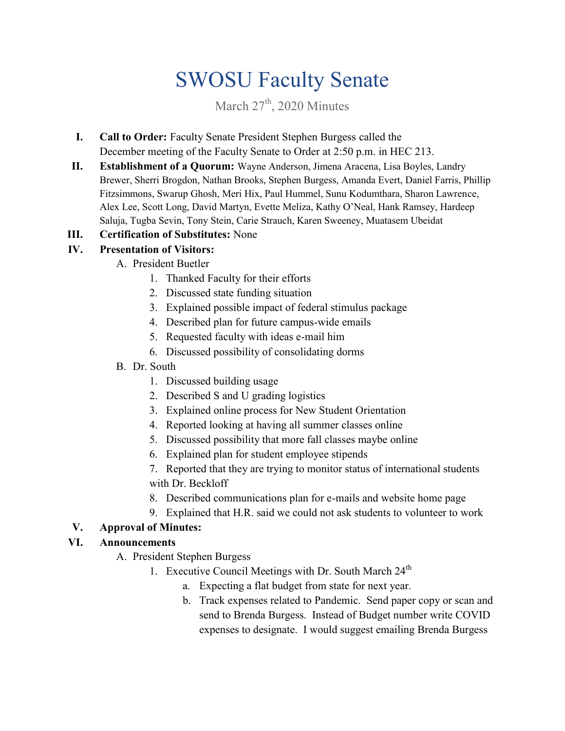# SWOSU Faculty Senate

## March  $27<sup>th</sup>$ , 2020 Minutes

- **I. Call to Order:** Faculty Senate President Stephen Burgess called the December meeting of the Faculty Senate to Order at 2:50 p.m. in HEC 213.
- **II. Establishment of a Quorum:** Wayne Anderson, Jimena Aracena, Lisa Boyles, Landry Brewer, Sherri Brogdon, Nathan Brooks, Stephen Burgess, Amanda Evert, Daniel Farris, Phillip Fitzsimmons, Swarup Ghosh, Meri Hix, Paul Hummel, Sunu Kodumthara, Sharon Lawrence, Alex Lee, Scott Long, David Martyn, Evette Meliza, Kathy O'Neal, Hank Ramsey, Hardeep Saluja, Tugba Sevin, Tony Stein, Carie Strauch, Karen Sweeney, Muatasem Ubeidat

#### **III. Certification of Substitutes:** None

#### **IV. Presentation of Visitors:**

- A. President Buetler
	- 1. Thanked Faculty for their efforts
	- 2. Discussed state funding situation
	- 3. Explained possible impact of federal stimulus package
	- 4. Described plan for future campus-wide emails
	- 5. Requested faculty with ideas e-mail him
	- 6. Discussed possibility of consolidating dorms
- B. Dr. South
	- 1. Discussed building usage
	- 2. Described S and U grading logistics
	- 3. Explained online process for New Student Orientation
	- 4. Reported looking at having all summer classes online
	- 5. Discussed possibility that more fall classes maybe online
	- 6. Explained plan for student employee stipends
	- 7. Reported that they are trying to monitor status of international students with Dr. Beckloff
	- 8. Described communications plan for e-mails and website home page
	- 9. Explained that H.R. said we could not ask students to volunteer to work

### **V. Approval of Minutes:**

### **VI. Announcements**

- A. President Stephen Burgess
	- 1. Executive Council Meetings with Dr. South March  $24<sup>th</sup>$ 
		- a. Expecting a flat budget from state for next year.
		- b. Track expenses related to Pandemic. Send paper copy or scan and send to Brenda Burgess. Instead of Budget number write COVID expenses to designate. I would suggest emailing Brenda Burgess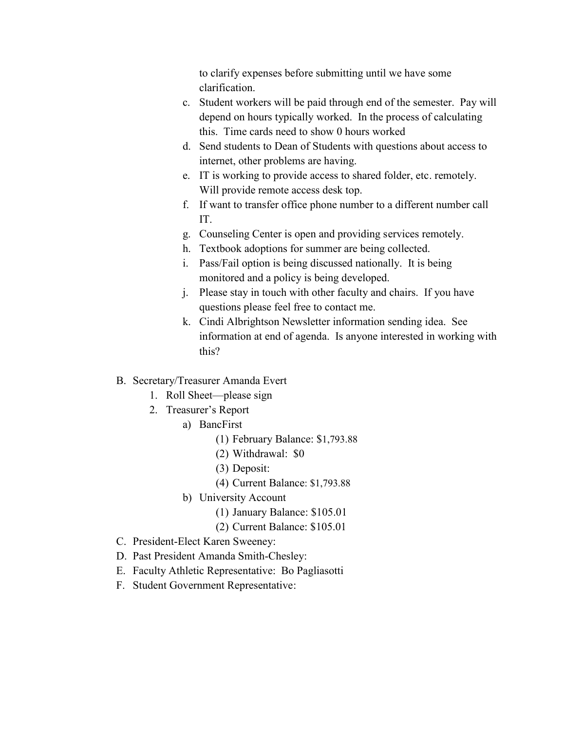to clarify expenses before submitting until we have some clarification.

- c. Student workers will be paid through end of the semester. Pay will depend on hours typically worked. In the process of calculating this. Time cards need to show 0 hours worked
- d. Send students to Dean of Students with questions about access to internet, other problems are having.
- e. IT is working to provide access to shared folder, etc. remotely. Will provide remote access desk top.
- f. If want to transfer office phone number to a different number call IT.
- g. Counseling Center is open and providing services remotely.
- h. Textbook adoptions for summer are being collected.
- i. Pass/Fail option is being discussed nationally. It is being monitored and a policy is being developed.
- j. Please stay in touch with other faculty and chairs. If you have questions please feel free to contact me.
- k. Cindi Albrightson Newsletter information sending idea. See information at end of agenda. Is anyone interested in working with this?
- B. Secretary/Treasurer Amanda Evert
	- 1. Roll Sheet—please sign
	- 2. Treasurer's Report
		- a) BancFirst
			- (1) February Balance: \$1,793.88
			- (2) Withdrawal: \$0
			- (3) Deposit:
			- (4) Current Balance: \$1,793.88
		- b) University Account
			- (1) January Balance: \$105.01
			- (2) Current Balance: \$105.01
- C. President-Elect Karen Sweeney:
- D. Past President Amanda Smith-Chesley:
- E. Faculty Athletic Representative: Bo Pagliasotti
- F. Student Government Representative: